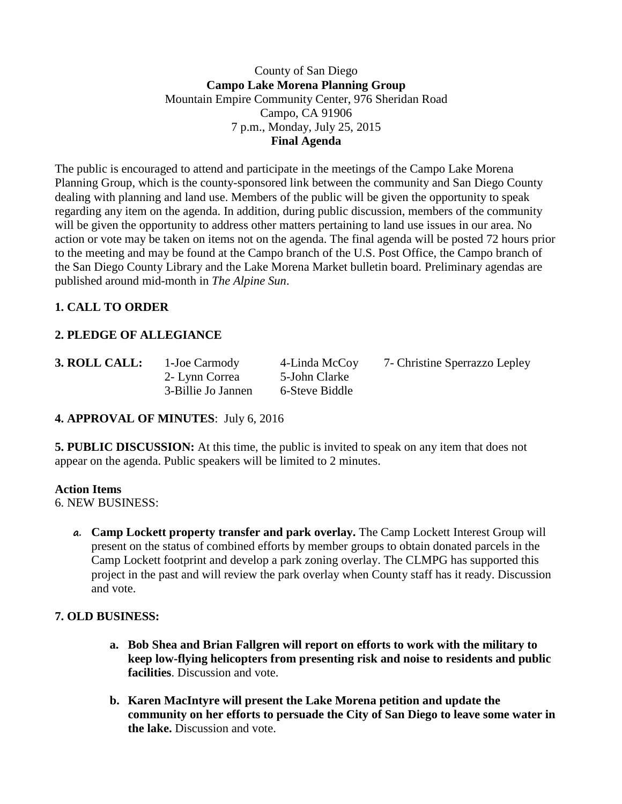### County of San Diego **Campo Lake Morena Planning Group** Mountain Empire Community Center, 976 Sheridan Road Campo, CA 91906 7 p.m., Monday, July 25, 2015 **Final Agenda**

The public is encouraged to attend and participate in the meetings of the Campo Lake Morena Planning Group, which is the county-sponsored link between the community and San Diego County dealing with planning and land use. Members of the public will be given the opportunity to speak regarding any item on the agenda. In addition, during public discussion, members of the community will be given the opportunity to address other matters pertaining to land use issues in our area. No action or vote may be taken on items not on the agenda. The final agenda will be posted 72 hours prior to the meeting and may be found at the Campo branch of the U.S. Post Office, the Campo branch of the San Diego County Library and the Lake Morena Market bulletin board. Preliminary agendas are published around mid-month in *The Alpine Sun*.

# **1. CALL TO ORDER**

## **2. PLEDGE OF ALLEGIANCE**

2- Lynn Correa 5-John Clarke 3-Billie Jo Jannen 6-Steve Biddle

**3. ROLL CALL:** 1**-**Joe Carmody 4-Linda McCoy 7- Christine Sperrazzo Lepley

### **4. APPROVAL OF MINUTES**: July 6, 2016

**5. PUBLIC DISCUSSION:** At this time, the public is invited to speak on any item that does not appear on the agenda. Public speakers will be limited to 2 minutes.

#### **Action Items**

6. NEW BUSINESS:

**a. Camp Lockett property transfer and park overlay.** The Camp Lockett Interest Group will present on the status of combined efforts by member groups to obtain donated parcels in the Camp Lockett footprint and develop a park zoning overlay. The CLMPG has supported this project in the past and will review the park overlay when County staff has it ready. Discussion and vote.

### **7. OLD BUSINESS:**

- **a. Bob Shea and Brian Fallgren will report on efforts to work with the military to keep low-flying helicopters from presenting risk and noise to residents and public facilities**. Discussion and vote.
- **b. Karen MacIntyre will present the Lake Morena petition and update the community on her efforts to persuade the City of San Diego to leave some water in the lake.** Discussion and vote.